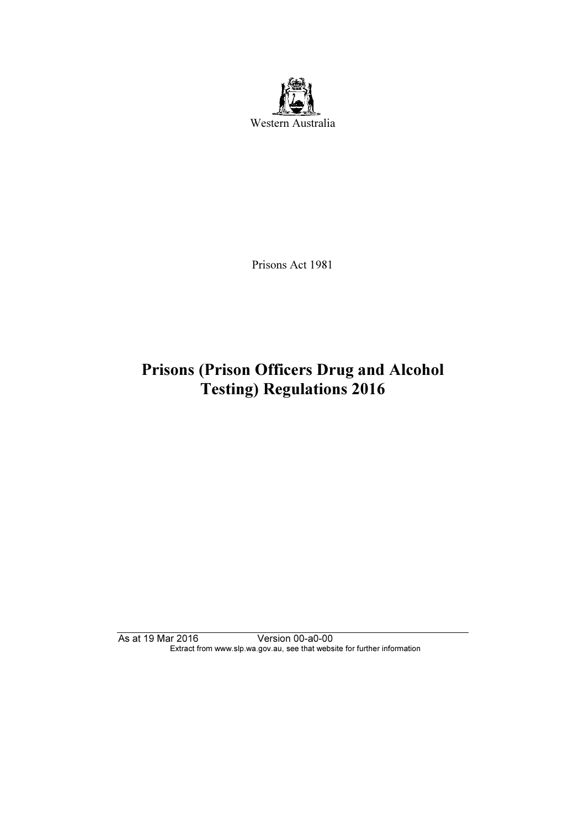

Prisons Act 1981

# Prisons (Prison Officers Drug and Alcohol Testing) Regulations 2016

As at 19 Mar 2016 Version 00-a0-00 Extract from www.slp.wa.gov.au, see that website for further information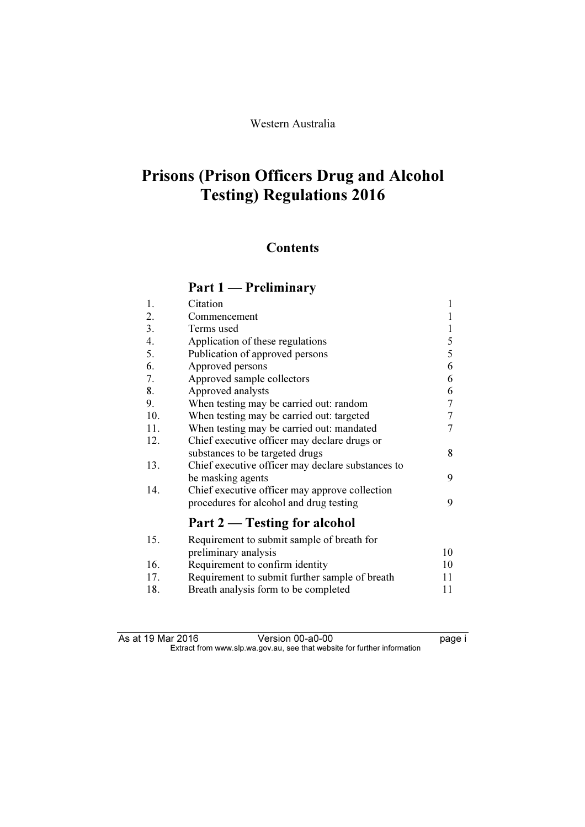# Prisons (Prison Officers Drug and Alcohol Testing) Regulations 2016

# **Contents**

# Part 1 — Preliminary

| 1.  | Citation                                          | $\mathbf{1}$ |
|-----|---------------------------------------------------|--------------|
| 2.  | Commencement                                      | 1            |
| 3.  | Terms used                                        | 1            |
| 4.  | Application of these regulations                  | 5            |
| 5.  | Publication of approved persons                   | 5            |
| 6.  | Approved persons                                  | 6            |
| 7.  | Approved sample collectors                        | 6            |
| 8.  | Approved analysts                                 | 6            |
| 9.  | When testing may be carried out: random           | 7            |
| 10. | When testing may be carried out: targeted         | 7            |
| 11. | When testing may be carried out: mandated         | 7            |
| 12. | Chief executive officer may declare drugs or      |              |
|     | substances to be targeted drugs                   | 8            |
| 13. | Chief executive officer may declare substances to |              |
|     | be masking agents                                 | 9            |
| 14. | Chief executive officer may approve collection    |              |
|     | procedures for alcohol and drug testing           | 9            |
|     | Part 2 – Testing for alcohol                      |              |
| 15. | Requirement to submit sample of breath for        |              |
|     | preliminary analysis                              | 10           |
| 16. | Requirement to confirm identity                   | 10           |
| 17. | Requirement to submit further sample of breath    | 11           |
| 18. | Breath analysis form to be completed              | 11           |
|     |                                                   |              |

| As at 19 Mar 2016 | Version 00-a0-00                                                         | page i |
|-------------------|--------------------------------------------------------------------------|--------|
|                   | Extract from www.slp.wa.gov.au, see that website for further information |        |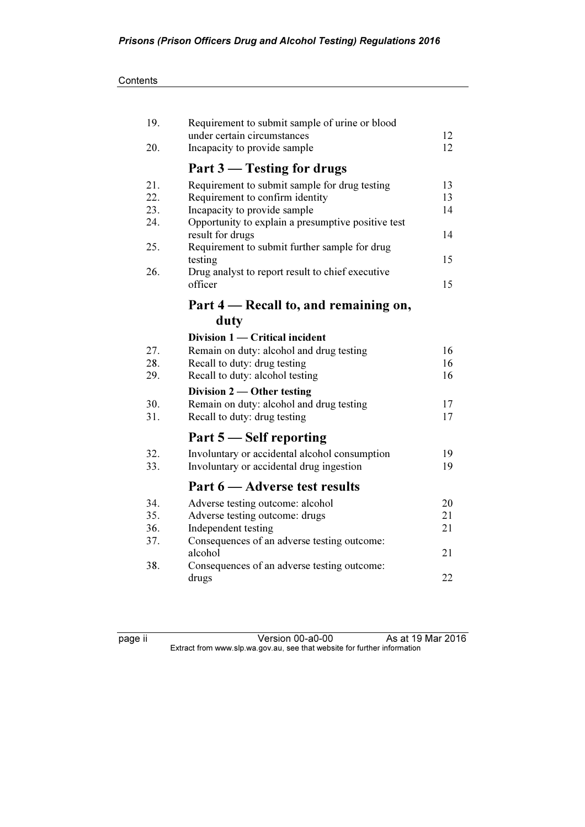| 19. | Requirement to submit sample of urine or blood              |    |
|-----|-------------------------------------------------------------|----|
|     | under certain circumstances                                 | 12 |
| 20. | Incapacity to provide sample                                | 12 |
|     | Part 3 – Testing for drugs                                  |    |
| 21. | Requirement to submit sample for drug testing               | 13 |
| 22. | Requirement to confirm identity                             | 13 |
| 23. | Incapacity to provide sample                                | 14 |
| 24. | Opportunity to explain a presumptive positive test          |    |
|     | result for drugs                                            | 14 |
| 25. | Requirement to submit further sample for drug               |    |
| 26. | testing<br>Drug analyst to report result to chief executive | 15 |
|     | officer                                                     | 15 |
|     |                                                             |    |
|     | Part 4 – Recall to, and remaining on,                       |    |
|     | duty                                                        |    |
|     | Division 1 — Critical incident                              |    |
| 27. | Remain on duty: alcohol and drug testing                    | 16 |
| 28. | Recall to duty: drug testing                                | 16 |
| 29. | Recall to duty: alcohol testing                             | 16 |
|     | Division $2$ — Other testing                                |    |
| 30. | Remain on duty: alcohol and drug testing                    | 17 |
| 31. | Recall to duty: drug testing                                | 17 |
|     | Part 5 – Self reporting                                     |    |
| 32. | Involuntary or accidental alcohol consumption               | 19 |
| 33. | Involuntary or accidental drug ingestion                    | 19 |
|     | Part 6 – Adverse test results                               |    |
| 34. | Adverse testing outcome: alcohol                            | 20 |
| 35. | Adverse testing outcome: drugs                              | 21 |
| 36. | Independent testing                                         | 21 |
| 37. | Consequences of an adverse testing outcome:                 |    |
|     | alcohol                                                     | 21 |
| 38. | Consequences of an adverse testing outcome:                 |    |
|     | drugs                                                       | 22 |

page ii Version 00-a0-00 As at 19 Mar 2016  $\mathbf{F}$  from which was the set that we besite for further information  $\mathbf{F}$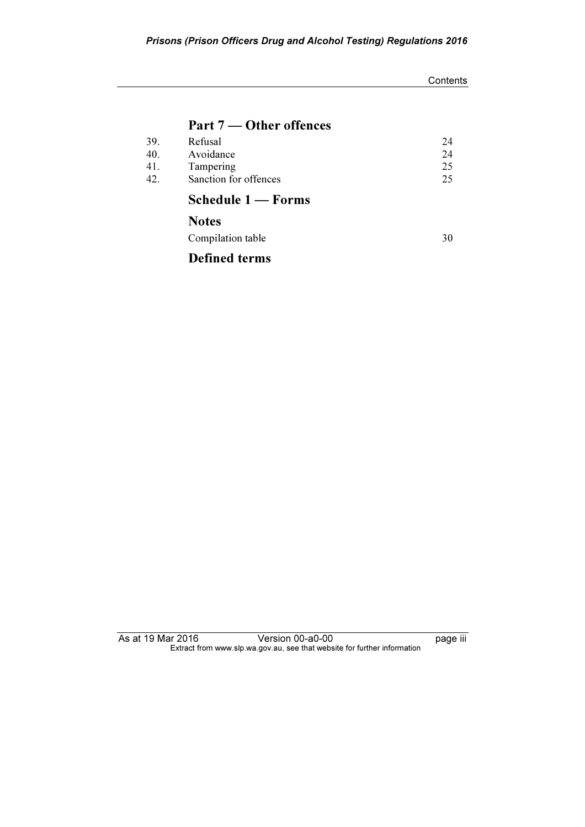### **Contents**

## Part 7 — Other offences

| 39. | Refusal               | 24 |
|-----|-----------------------|----|
| 40. | Avoidance             | 24 |
| 41. | Tampering             | 25 |
| 42. | Sanction for offences | 25 |
|     | Schedule 1 — Forms    |    |
|     | <b>Notes</b>          |    |

Compilation table 30

Defined terms

As at 19 Mar 2016 Version 00-a0-00 Page iii Extract from www.slp.wa.gov.au, see that website for further information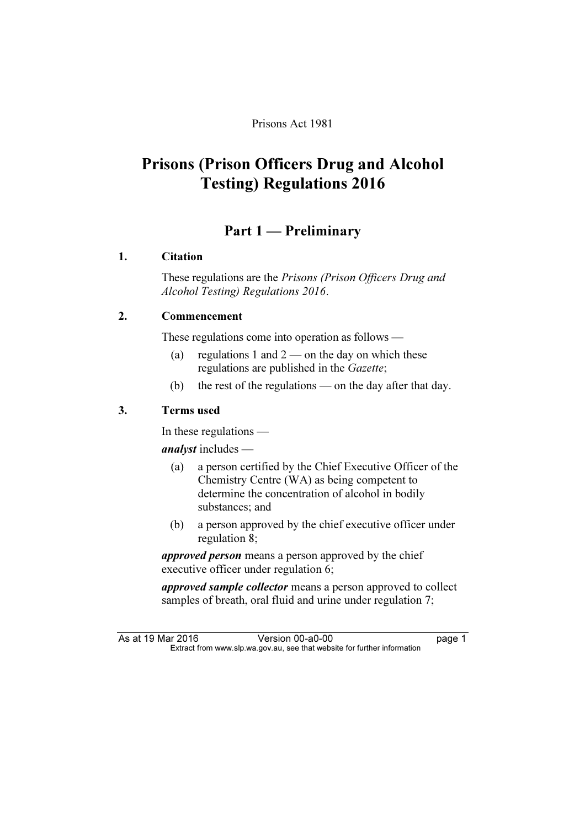## Prisons Act 1981

# Prisons (Prison Officers Drug and Alcohol Testing) Regulations 2016

# Part 1 — Preliminary

## 1. Citation

 These regulations are the Prisons (Prison Officers Drug and Alcohol Testing) Regulations 2016.

## 2. Commencement

These regulations come into operation as follows —

- (a) regulations 1 and  $2$  on the day on which these regulations are published in the Gazette;
- (b) the rest of the regulations on the day after that day.

## 3. Terms used

In these regulations —

analyst includes —

- (a) a person certified by the Chief Executive Officer of the Chemistry Centre (WA) as being competent to determine the concentration of alcohol in bodily substances; and
- (b) a person approved by the chief executive officer under regulation 8;

approved person means a person approved by the chief executive officer under regulation 6;

approved sample collector means a person approved to collect samples of breath, oral fluid and urine under regulation 7;

As at 19 Mar 2016 Version 00-a0-00 page 1<br>Extract from www.slp.wa.gov.au, see that website for further information  $\mathbf{F}$  from which was the set that we besite for further information  $\mathbf{F}$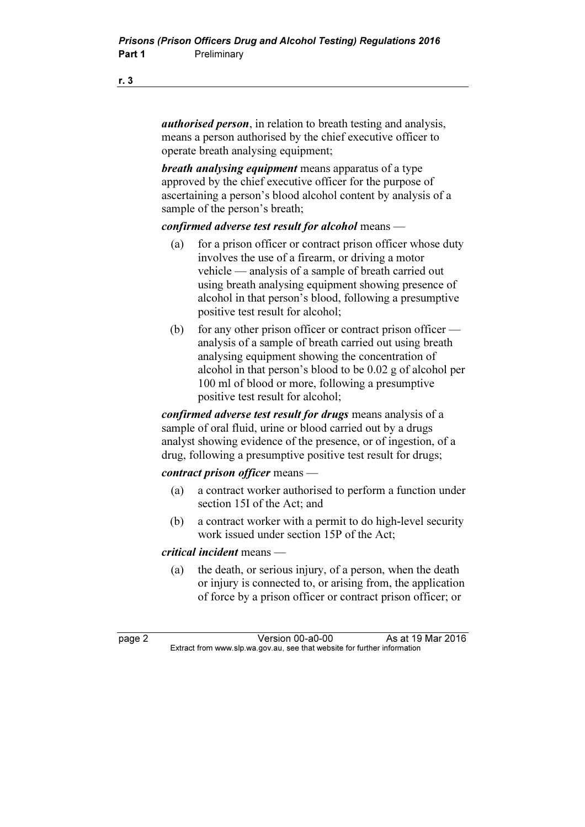*authorised person*, in relation to breath testing and analysis, means a person authorised by the chief executive officer to operate breath analysing equipment;

breath analysing equipment means apparatus of a type approved by the chief executive officer for the purpose of ascertaining a person's blood alcohol content by analysis of a sample of the person's breath;

### confirmed adverse test result for alcohol means  $-$

- (a) for a prison officer or contract prison officer whose duty involves the use of a firearm, or driving a motor vehicle — analysis of a sample of breath carried out using breath analysing equipment showing presence of alcohol in that person's blood, following a presumptive positive test result for alcohol;
- (b) for any other prison officer or contract prison officer analysis of a sample of breath carried out using breath analysing equipment showing the concentration of alcohol in that person's blood to be 0.02 g of alcohol per 100 ml of blood or more, following a presumptive positive test result for alcohol;

confirmed adverse test result for drugs means analysis of a sample of oral fluid, urine or blood carried out by a drugs analyst showing evidence of the presence, or of ingestion, of a drug, following a presumptive positive test result for drugs;

### contract prison officer means -

- (a) a contract worker authorised to perform a function under section 15I of the Act; and
- (b) a contract worker with a permit to do high-level security work issued under section 15P of the Act;

### critical incident means —

 (a) the death, or serious injury, of a person, when the death or injury is connected to, or arising from, the application of force by a prison officer or contract prison officer; or

page 2 Version 00-a0-00 As at 19 Mar 2016<br>Extract from www.slp.wa.gov.au, see that website for further information  $\mathbf{F}$  from which was the see that we besite for further information  $\mathbf{F}$ 

### r. 3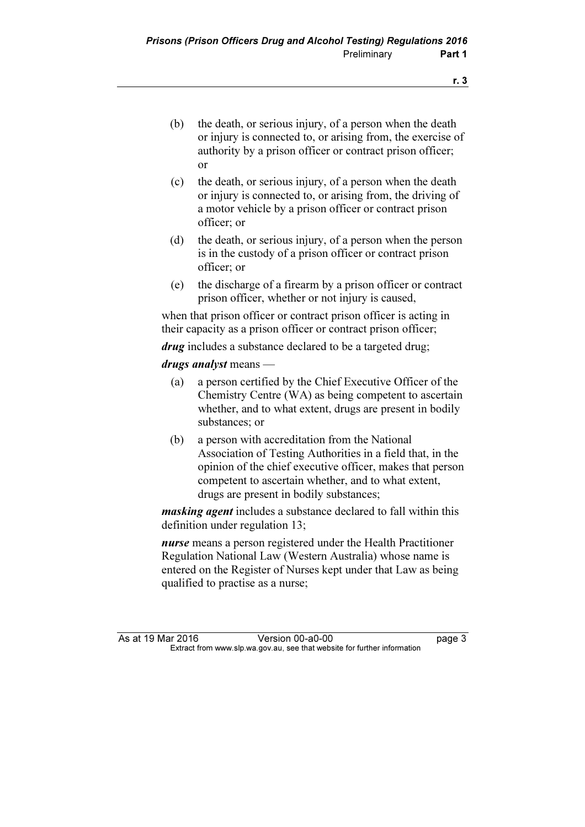- (b) the death, or serious injury, of a person when the death or injury is connected to, or arising from, the exercise of authority by a prison officer or contract prison officer; or
- (c) the death, or serious injury, of a person when the death or injury is connected to, or arising from, the driving of a motor vehicle by a prison officer or contract prison officer; or
- (d) the death, or serious injury, of a person when the person is in the custody of a prison officer or contract prison officer; or
- (e) the discharge of a firearm by a prison officer or contract prison officer, whether or not injury is caused,

 when that prison officer or contract prison officer is acting in their capacity as a prison officer or contract prison officer;

*drug* includes a substance declared to be a targeted drug;

drugs analyst means —

- (a) a person certified by the Chief Executive Officer of the Chemistry Centre (WA) as being competent to ascertain whether, and to what extent, drugs are present in bodily substances; or
- (b) a person with accreditation from the National Association of Testing Authorities in a field that, in the opinion of the chief executive officer, makes that person competent to ascertain whether, and to what extent, drugs are present in bodily substances;

masking agent includes a substance declared to fall within this definition under regulation 13;

nurse means a person registered under the Health Practitioner Regulation National Law (Western Australia) whose name is entered on the Register of Nurses kept under that Law as being qualified to practise as a nurse;

As at 19 Mar 2016 Version 00-a0-00<br>Extract from www.slp.wa.gov.au, see that website for further information  $\mathbf{F}$  from which was the see that we besite for further information  $\mathbf{F}$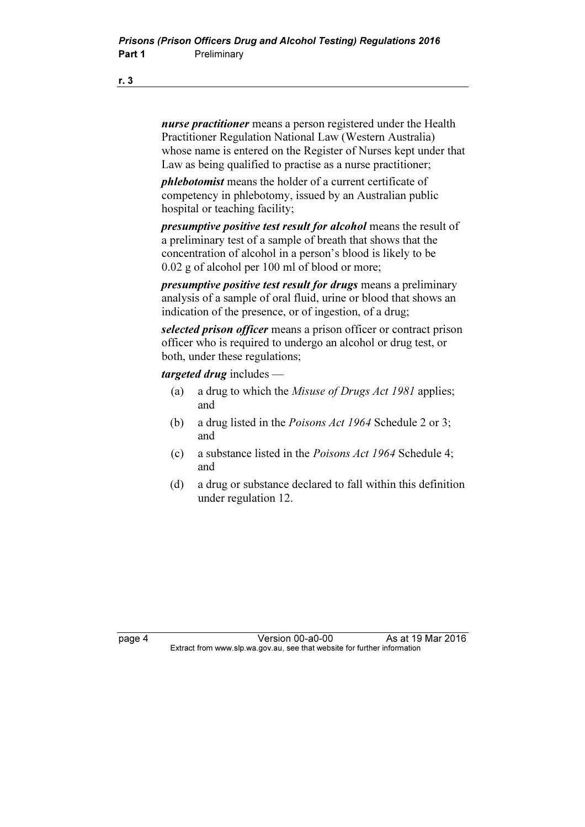nurse practitioner means a person registered under the Health Practitioner Regulation National Law (Western Australia) whose name is entered on the Register of Nurses kept under that Law as being qualified to practise as a nurse practitioner;

phlebotomist means the holder of a current certificate of competency in phlebotomy, issued by an Australian public hospital or teaching facility;

presumptive positive test result for alcohol means the result of a preliminary test of a sample of breath that shows that the concentration of alcohol in a person's blood is likely to be 0.02 g of alcohol per 100 ml of blood or more;

presumptive positive test result for drugs means a preliminary analysis of a sample of oral fluid, urine or blood that shows an indication of the presence, or of ingestion, of a drug;

selected prison officer means a prison officer or contract prison officer who is required to undergo an alcohol or drug test, or both, under these regulations;

targeted drug includes —

- (a) a drug to which the Misuse of Drugs Act 1981 applies; and
- (b) a drug listed in the Poisons Act 1964 Schedule 2 or 3; and
- (c) a substance listed in the Poisons Act 1964 Schedule 4; and
- (d) a drug or substance declared to fall within this definition under regulation 12.

page 4 Version 00-a0-00 As at 19 Mar 2016<br>Extract from www.slp.wa.gov.au, see that website for further information  $\mathbf{F}$  from which was the see that we besite for further information  $\mathbf{F}$ 

r. 3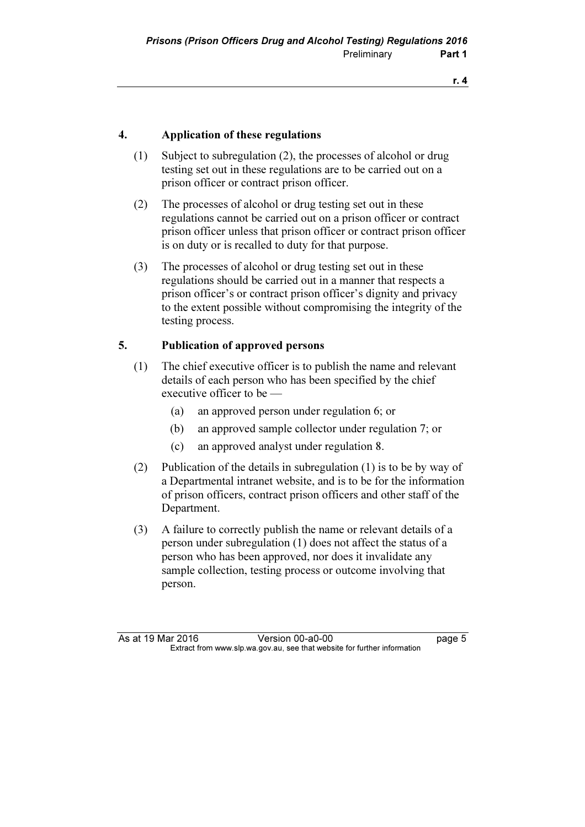## 4. Application of these regulations

- (1) Subject to subregulation (2), the processes of alcohol or drug testing set out in these regulations are to be carried out on a prison officer or contract prison officer.
- (2) The processes of alcohol or drug testing set out in these regulations cannot be carried out on a prison officer or contract prison officer unless that prison officer or contract prison officer is on duty or is recalled to duty for that purpose.
- (3) The processes of alcohol or drug testing set out in these regulations should be carried out in a manner that respects a prison officer's or contract prison officer's dignity and privacy to the extent possible without compromising the integrity of the testing process.

### 5. Publication of approved persons

- (1) The chief executive officer is to publish the name and relevant details of each person who has been specified by the chief executive officer to be —
	- (a) an approved person under regulation 6; or
	- (b) an approved sample collector under regulation 7; or
	- (c) an approved analyst under regulation 8.
- (2) Publication of the details in subregulation (1) is to be by way of a Departmental intranet website, and is to be for the information of prison officers, contract prison officers and other staff of the Department.
- (3) A failure to correctly publish the name or relevant details of a person under subregulation (1) does not affect the status of a person who has been approved, nor does it invalidate any sample collection, testing process or outcome involving that person.

As at 19 Mar 2016 **Version 00-a0-00 Page 5** Extract from www.slp.wa.gov.au, see that website for further information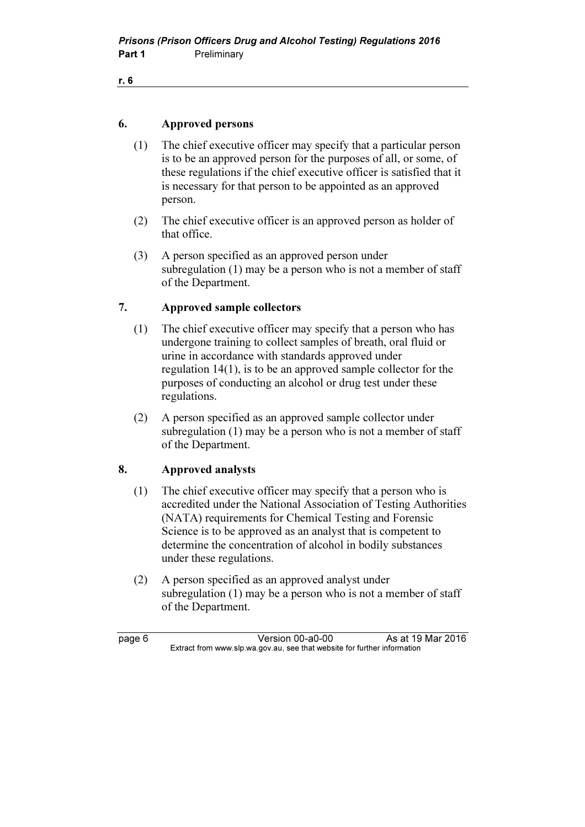## 6. Approved persons

- (1) The chief executive officer may specify that a particular person is to be an approved person for the purposes of all, or some, of these regulations if the chief executive officer is satisfied that it is necessary for that person to be appointed as an approved person.
- (2) The chief executive officer is an approved person as holder of that office.
- (3) A person specified as an approved person under subregulation (1) may be a person who is not a member of staff of the Department.

## 7. Approved sample collectors

- (1) The chief executive officer may specify that a person who has undergone training to collect samples of breath, oral fluid or urine in accordance with standards approved under regulation 14(1), is to be an approved sample collector for the purposes of conducting an alcohol or drug test under these regulations.
- (2) A person specified as an approved sample collector under subregulation (1) may be a person who is not a member of staff of the Department.

## 8. Approved analysts

- (1) The chief executive officer may specify that a person who is accredited under the National Association of Testing Authorities (NATA) requirements for Chemical Testing and Forensic Science is to be approved as an analyst that is competent to determine the concentration of alcohol in bodily substances under these regulations.
- (2) A person specified as an approved analyst under subregulation (1) may be a person who is not a member of staff of the Department.

page 6 Version 00-a0-00 As at 19 Mar 2016<br>Extract from www.slp.wa.gov.au, see that website for further information  $\mathbf{F}$  from which was the see that we besite for further information  $\mathbf{F}$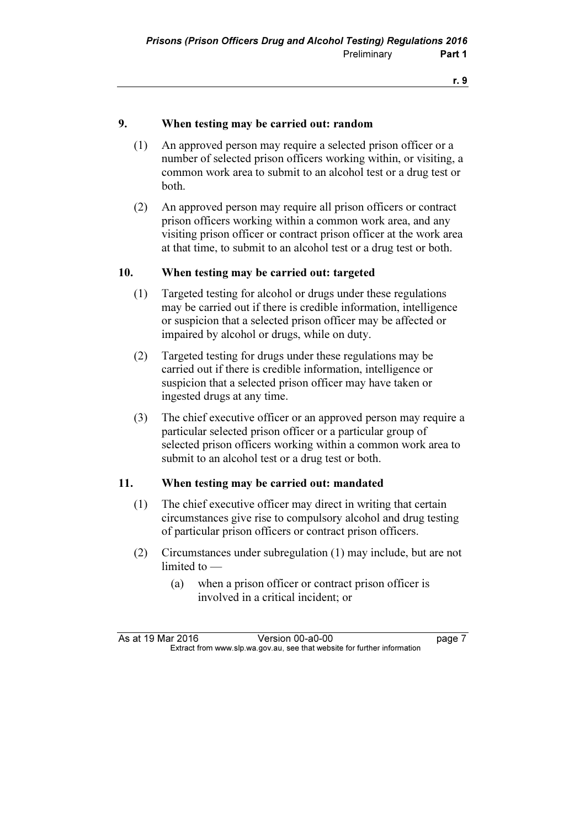## 9. When testing may be carried out: random

- (1) An approved person may require a selected prison officer or a number of selected prison officers working within, or visiting, a common work area to submit to an alcohol test or a drug test or both.
- (2) An approved person may require all prison officers or contract prison officers working within a common work area, and any visiting prison officer or contract prison officer at the work area at that time, to submit to an alcohol test or a drug test or both.

### 10. When testing may be carried out: targeted

- (1) Targeted testing for alcohol or drugs under these regulations may be carried out if there is credible information, intelligence or suspicion that a selected prison officer may be affected or impaired by alcohol or drugs, while on duty.
- (2) Targeted testing for drugs under these regulations may be carried out if there is credible information, intelligence or suspicion that a selected prison officer may have taken or ingested drugs at any time.
- (3) The chief executive officer or an approved person may require a particular selected prison officer or a particular group of selected prison officers working within a common work area to submit to an alcohol test or a drug test or both.

### 11. When testing may be carried out: mandated

- (1) The chief executive officer may direct in writing that certain circumstances give rise to compulsory alcohol and drug testing of particular prison officers or contract prison officers.
- (2) Circumstances under subregulation (1) may include, but are not limited to —
	- (a) when a prison officer or contract prison officer is involved in a critical incident; or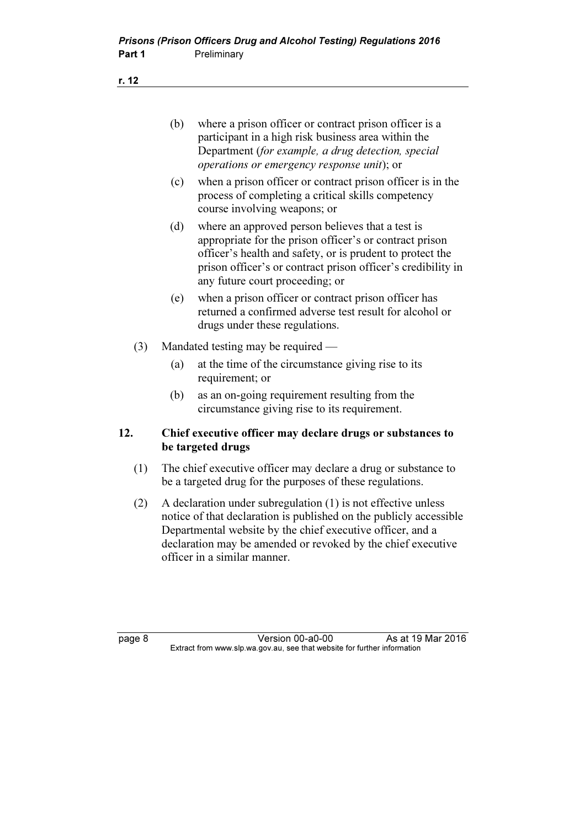- (b) where a prison officer or contract prison officer is a participant in a high risk business area within the Department (for example, a drug detection, special operations or emergency response unit); or
- (c) when a prison officer or contract prison officer is in the process of completing a critical skills competency course involving weapons; or
- (d) where an approved person believes that a test is appropriate for the prison officer's or contract prison officer's health and safety, or is prudent to protect the prison officer's or contract prison officer's credibility in any future court proceeding; or
- (e) when a prison officer or contract prison officer has returned a confirmed adverse test result for alcohol or drugs under these regulations.
- (3) Mandated testing may be required
	- (a) at the time of the circumstance giving rise to its requirement; or
	- (b) as an on-going requirement resulting from the circumstance giving rise to its requirement.

## 12. Chief executive officer may declare drugs or substances to be targeted drugs

- (1) The chief executive officer may declare a drug or substance to be a targeted drug for the purposes of these regulations.
- (2) A declaration under subregulation (1) is not effective unless notice of that declaration is published on the publicly accessible Departmental website by the chief executive officer, and a declaration may be amended or revoked by the chief executive officer in a similar manner.

page 8 Version 00-a0-00 As at 19 Mar 2016<br>Extract from www.slp.wa.gov.au, see that website for further information  $\mathbf{F}$  from which was the see that we besite for further information  $\mathbf{F}$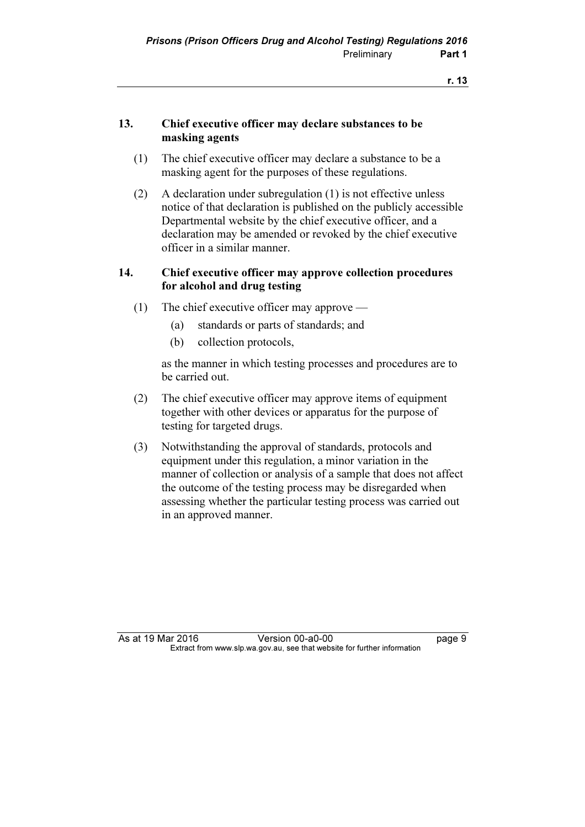## 13. Chief executive officer may declare substances to be masking agents

- (1) The chief executive officer may declare a substance to be a masking agent for the purposes of these regulations.
- (2) A declaration under subregulation (1) is not effective unless notice of that declaration is published on the publicly accessible Departmental website by the chief executive officer, and a declaration may be amended or revoked by the chief executive officer in a similar manner.

## 14. Chief executive officer may approve collection procedures for alcohol and drug testing

- (1) The chief executive officer may approve
	- (a) standards or parts of standards; and
	- (b) collection protocols,

 as the manner in which testing processes and procedures are to be carried out.

- (2) The chief executive officer may approve items of equipment together with other devices or apparatus for the purpose of testing for targeted drugs.
- (3) Notwithstanding the approval of standards, protocols and equipment under this regulation, a minor variation in the manner of collection or analysis of a sample that does not affect the outcome of the testing process may be disregarded when assessing whether the particular testing process was carried out in an approved manner.

As at 19 Mar 2016 **Version 00-a0-00 Demand Strategier 19 Mar 2016** Extract from www.slp.wa.gov.au, see that website for further information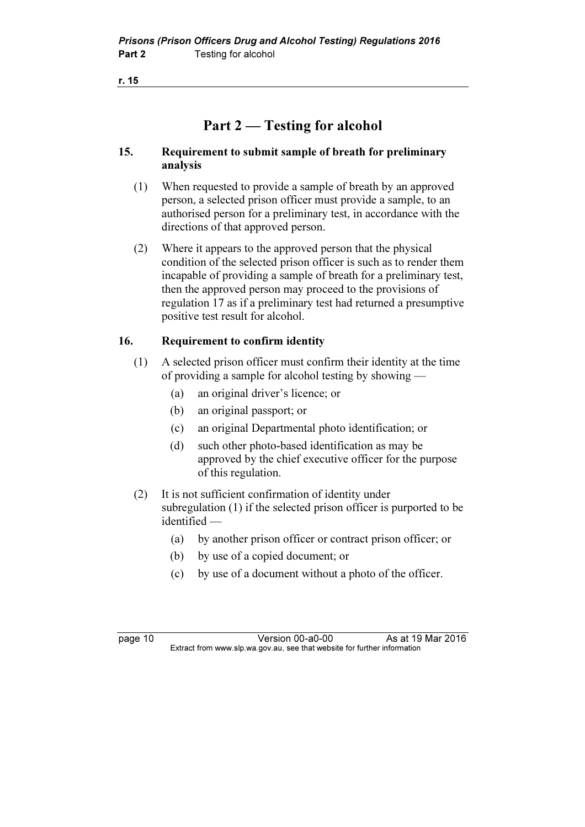# Part 2 — Testing for alcohol

## 15. Requirement to submit sample of breath for preliminary analysis

- (1) When requested to provide a sample of breath by an approved person, a selected prison officer must provide a sample, to an authorised person for a preliminary test, in accordance with the directions of that approved person.
- (2) Where it appears to the approved person that the physical condition of the selected prison officer is such as to render them incapable of providing a sample of breath for a preliminary test, then the approved person may proceed to the provisions of regulation 17 as if a preliminary test had returned a presumptive positive test result for alcohol.

## 16. Requirement to confirm identity

- (1) A selected prison officer must confirm their identity at the time of providing a sample for alcohol testing by showing —
	- (a) an original driver's licence; or
	- (b) an original passport; or
	- (c) an original Departmental photo identification; or
	- (d) such other photo-based identification as may be approved by the chief executive officer for the purpose of this regulation.
- (2) It is not sufficient confirmation of identity under subregulation (1) if the selected prison officer is purported to be identified —
	- (a) by another prison officer or contract prison officer; or
	- (b) by use of a copied document; or
	- (c) by use of a document without a photo of the officer.

page 10 Version 00-a0-00 As at 19 Mar 2016<br>Extract from www.slp.wa.gov.au, see that website for further information  $\mathbf{F}$  from which was the see that we besite for further information  $\mathbf{F}$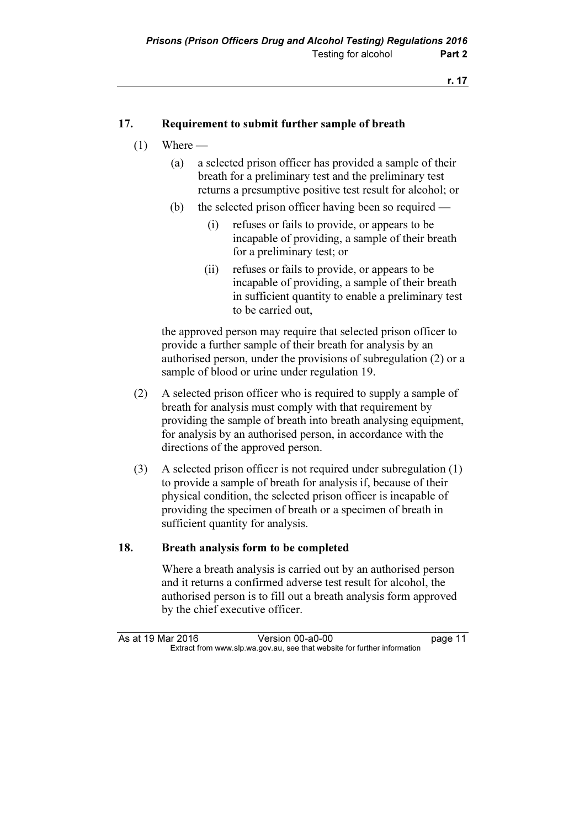## 17. Requirement to submit further sample of breath

- $(1)$  Where
	- (a) a selected prison officer has provided a sample of their breath for a preliminary test and the preliminary test returns a presumptive positive test result for alcohol; or
	- (b) the selected prison officer having been so required
		- (i) refuses or fails to provide, or appears to be incapable of providing, a sample of their breath for a preliminary test; or
		- (ii) refuses or fails to provide, or appears to be incapable of providing, a sample of their breath in sufficient quantity to enable a preliminary test to be carried out,

 the approved person may require that selected prison officer to provide a further sample of their breath for analysis by an authorised person, under the provisions of subregulation (2) or a sample of blood or urine under regulation 19.

- (2) A selected prison officer who is required to supply a sample of breath for analysis must comply with that requirement by providing the sample of breath into breath analysing equipment, for analysis by an authorised person, in accordance with the directions of the approved person.
- (3) A selected prison officer is not required under subregulation (1) to provide a sample of breath for analysis if, because of their physical condition, the selected prison officer is incapable of providing the specimen of breath or a specimen of breath in sufficient quantity for analysis.

## 18. Breath analysis form to be completed

 Where a breath analysis is carried out by an authorised person and it returns a confirmed adverse test result for alcohol, the authorised person is to fill out a breath analysis form approved by the chief executive officer.

As at 19 Mar 2016 Version 00-a0-00 page 11<br>Extract from www.slp.wa.gov.au, see that website for further information  $\mathbf{F}$  from which was the see that we besite for further information  $\mathbf{F}$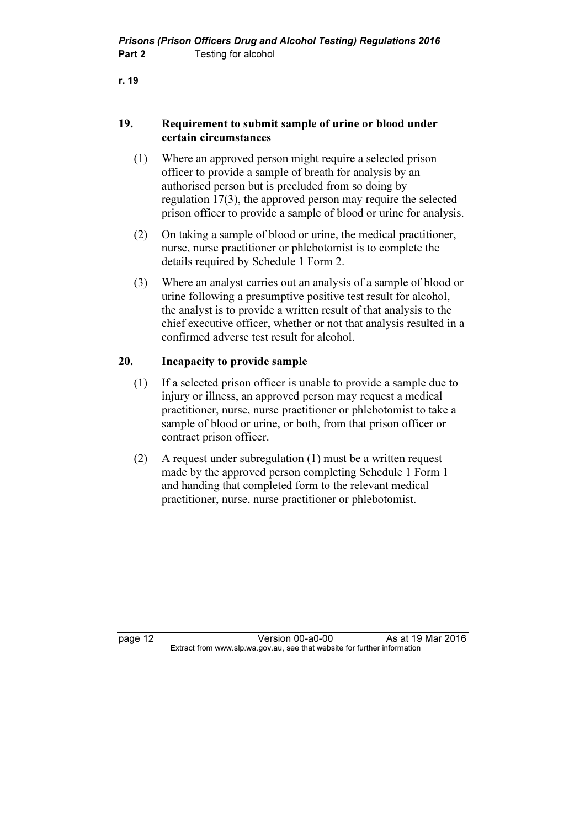## 19. Requirement to submit sample of urine or blood under certain circumstances

- (1) Where an approved person might require a selected prison officer to provide a sample of breath for analysis by an authorised person but is precluded from so doing by regulation 17(3), the approved person may require the selected prison officer to provide a sample of blood or urine for analysis.
- (2) On taking a sample of blood or urine, the medical practitioner, nurse, nurse practitioner or phlebotomist is to complete the details required by Schedule 1 Form 2.
- (3) Where an analyst carries out an analysis of a sample of blood or urine following a presumptive positive test result for alcohol, the analyst is to provide a written result of that analysis to the chief executive officer, whether or not that analysis resulted in a confirmed adverse test result for alcohol.

### 20. Incapacity to provide sample

- (1) If a selected prison officer is unable to provide a sample due to injury or illness, an approved person may request a medical practitioner, nurse, nurse practitioner or phlebotomist to take a sample of blood or urine, or both, from that prison officer or contract prison officer.
- (2) A request under subregulation (1) must be a written request made by the approved person completing Schedule 1 Form 1 and handing that completed form to the relevant medical practitioner, nurse, nurse practitioner or phlebotomist.

page 12 **Version 00-a0-00** As at 19 Mar 2016<br>Extract from www.slp.wa.gov.au, see that website for further information  $\mathbf{F}$  from which was the see that we besite for further information  $\mathbf{F}$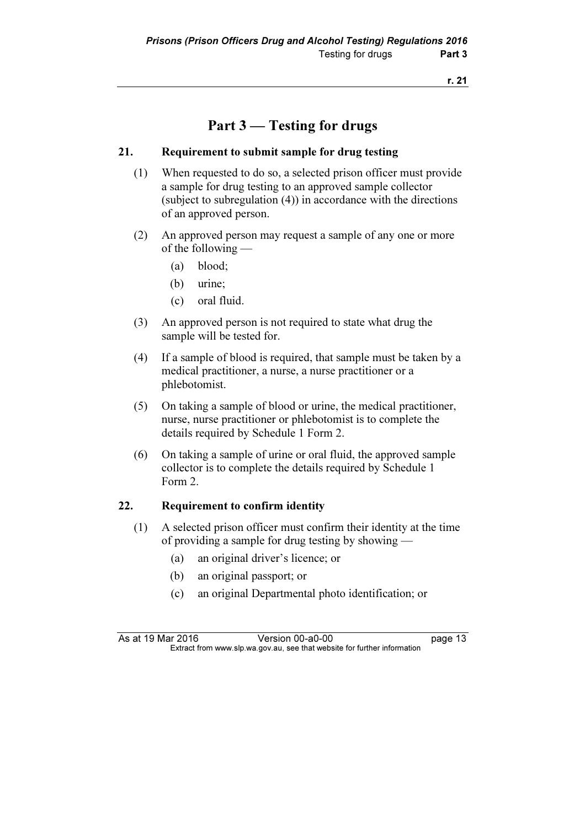# Part 3 — Testing for drugs

## 21. Requirement to submit sample for drug testing

- (1) When requested to do so, a selected prison officer must provide a sample for drug testing to an approved sample collector (subject to subregulation (4)) in accordance with the directions of an approved person.
- (2) An approved person may request a sample of any one or more of the following —
	- (a) blood;
	- (b) urine;
	- (c) oral fluid.
- (3) An approved person is not required to state what drug the sample will be tested for.
- (4) If a sample of blood is required, that sample must be taken by a medical practitioner, a nurse, a nurse practitioner or a phlebotomist.
- (5) On taking a sample of blood or urine, the medical practitioner, nurse, nurse practitioner or phlebotomist is to complete the details required by Schedule 1 Form 2.
- (6) On taking a sample of urine or oral fluid, the approved sample collector is to complete the details required by Schedule 1 Form 2.

## 22. Requirement to confirm identity

- (1) A selected prison officer must confirm their identity at the time of providing a sample for drug testing by showing —
	- (a) an original driver's licence; or
	- (b) an original passport; or
	- (c) an original Departmental photo identification; or

As at 19 Mar 2016 **Version 00-a0-00 page 13** Extract from www.slp.wa.gov.au, see that website for further information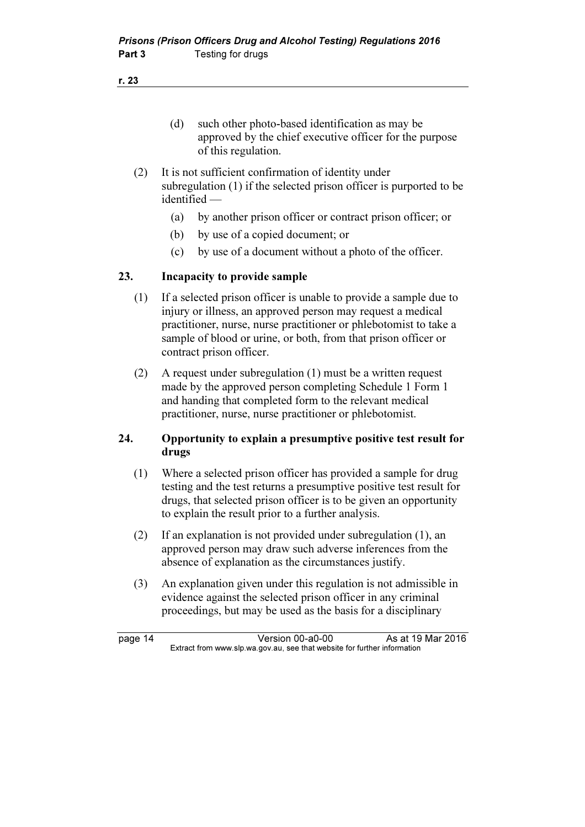- (d) such other photo-based identification as may be approved by the chief executive officer for the purpose of this regulation.
- (2) It is not sufficient confirmation of identity under subregulation (1) if the selected prison officer is purported to be identified —
	- (a) by another prison officer or contract prison officer; or
	- (b) by use of a copied document; or
	- (c) by use of a document without a photo of the officer.

## 23. Incapacity to provide sample

- (1) If a selected prison officer is unable to provide a sample due to injury or illness, an approved person may request a medical practitioner, nurse, nurse practitioner or phlebotomist to take a sample of blood or urine, or both, from that prison officer or contract prison officer.
- (2) A request under subregulation (1) must be a written request made by the approved person completing Schedule 1 Form 1 and handing that completed form to the relevant medical practitioner, nurse, nurse practitioner or phlebotomist.

## 24. Opportunity to explain a presumptive positive test result for drugs

- (1) Where a selected prison officer has provided a sample for drug testing and the test returns a presumptive positive test result for drugs, that selected prison officer is to be given an opportunity to explain the result prior to a further analysis.
- (2) If an explanation is not provided under subregulation (1), an approved person may draw such adverse inferences from the absence of explanation as the circumstances justify.
- (3) An explanation given under this regulation is not admissible in evidence against the selected prison officer in any criminal proceedings, but may be used as the basis for a disciplinary

page 14 Version 00-a0-00 As at 19 Mar 2016<br>Extract from www.slp.wa.gov.au, see that website for further information  $\mathbf{F}$  from which was the see that we besite for further information  $\mathbf{F}$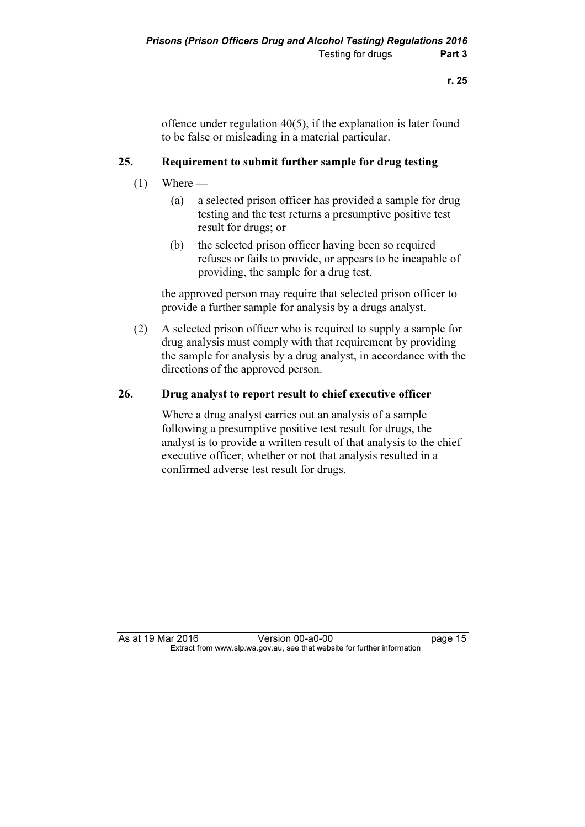offence under regulation 40(5), if the explanation is later found to be false or misleading in a material particular.

## 25. Requirement to submit further sample for drug testing

- $(1)$  Where
	- (a) a selected prison officer has provided a sample for drug testing and the test returns a presumptive positive test result for drugs; or
	- (b) the selected prison officer having been so required refuses or fails to provide, or appears to be incapable of providing, the sample for a drug test,

 the approved person may require that selected prison officer to provide a further sample for analysis by a drugs analyst.

 (2) A selected prison officer who is required to supply a sample for drug analysis must comply with that requirement by providing the sample for analysis by a drug analyst, in accordance with the directions of the approved person.

### 26. Drug analyst to report result to chief executive officer

 Where a drug analyst carries out an analysis of a sample following a presumptive positive test result for drugs, the analyst is to provide a written result of that analysis to the chief executive officer, whether or not that analysis resulted in a confirmed adverse test result for drugs.

As at 19 Mar 2016 Version 00-a0-00 page 15<br>Extract from www.slp.wa.gov.au, see that website for further information  $\mathbf{F}$  from which was the see that we besite for further information  $\mathbf{F}$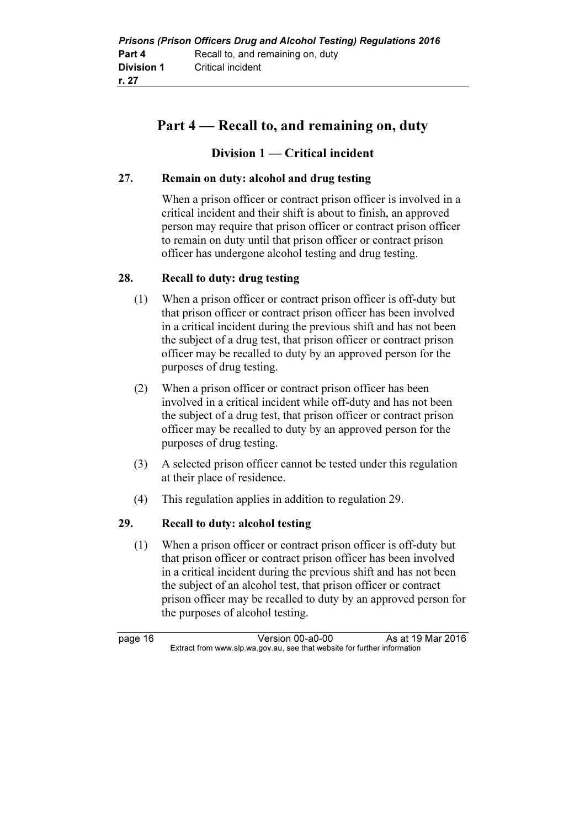# Part 4 — Recall to, and remaining on, duty

## Division 1 — Critical incident

## 27. Remain on duty: alcohol and drug testing

 When a prison officer or contract prison officer is involved in a critical incident and their shift is about to finish, an approved person may require that prison officer or contract prison officer to remain on duty until that prison officer or contract prison officer has undergone alcohol testing and drug testing.

## 28. Recall to duty: drug testing

- (1) When a prison officer or contract prison officer is off-duty but that prison officer or contract prison officer has been involved in a critical incident during the previous shift and has not been the subject of a drug test, that prison officer or contract prison officer may be recalled to duty by an approved person for the purposes of drug testing.
- (2) When a prison officer or contract prison officer has been involved in a critical incident while off-duty and has not been the subject of a drug test, that prison officer or contract prison officer may be recalled to duty by an approved person for the purposes of drug testing.
- (3) A selected prison officer cannot be tested under this regulation at their place of residence.
- (4) This regulation applies in addition to regulation 29.

## 29. Recall to duty: alcohol testing

 (1) When a prison officer or contract prison officer is off-duty but that prison officer or contract prison officer has been involved in a critical incident during the previous shift and has not been the subject of an alcohol test, that prison officer or contract prison officer may be recalled to duty by an approved person for the purposes of alcohol testing.

page 16 Version 00-a0-00 As at 19 Mar 2016<br>Extract from www.slp.wa.gov.au, see that website for further information  $\mathbf{F}$  from which was the see that we besite for further information  $\mathbf{F}$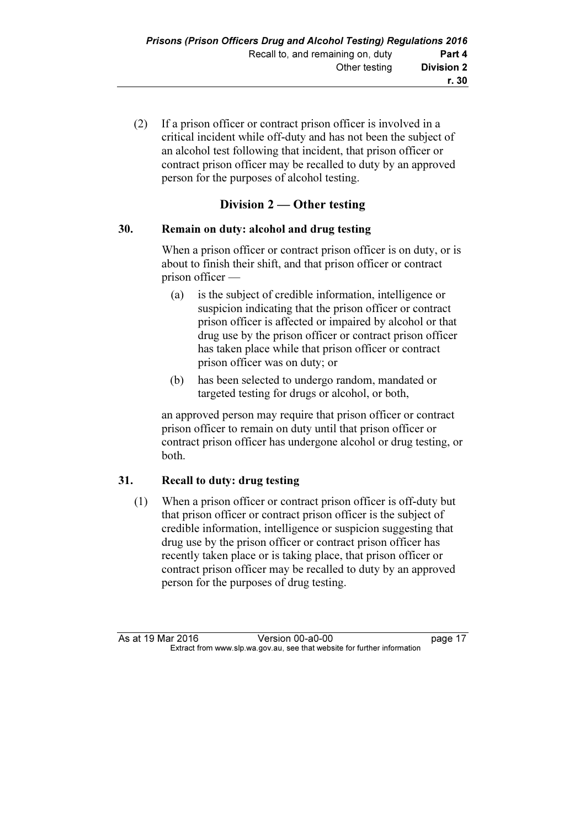(2) If a prison officer or contract prison officer is involved in a critical incident while off-duty and has not been the subject of an alcohol test following that incident, that prison officer or contract prison officer may be recalled to duty by an approved person for the purposes of alcohol testing.

## Division 2 — Other testing

### 30. Remain on duty: alcohol and drug testing

 When a prison officer or contract prison officer is on duty, or is about to finish their shift, and that prison officer or contract prison officer —

- (a) is the subject of credible information, intelligence or suspicion indicating that the prison officer or contract prison officer is affected or impaired by alcohol or that drug use by the prison officer or contract prison officer has taken place while that prison officer or contract prison officer was on duty; or
- (b) has been selected to undergo random, mandated or targeted testing for drugs or alcohol, or both,

 an approved person may require that prison officer or contract prison officer to remain on duty until that prison officer or contract prison officer has undergone alcohol or drug testing, or both.

## 31. Recall to duty: drug testing

 (1) When a prison officer or contract prison officer is off-duty but that prison officer or contract prison officer is the subject of credible information, intelligence or suspicion suggesting that drug use by the prison officer or contract prison officer has recently taken place or is taking place, that prison officer or contract prison officer may be recalled to duty by an approved person for the purposes of drug testing.

As at 19 Mar 2016 Version 00-a0-00 page 17<br>Extract from www.slp.wa.gov.au, see that website for further information  $\mathbf{F}$  from which was the see that we besite for further information  $\mathbf{F}$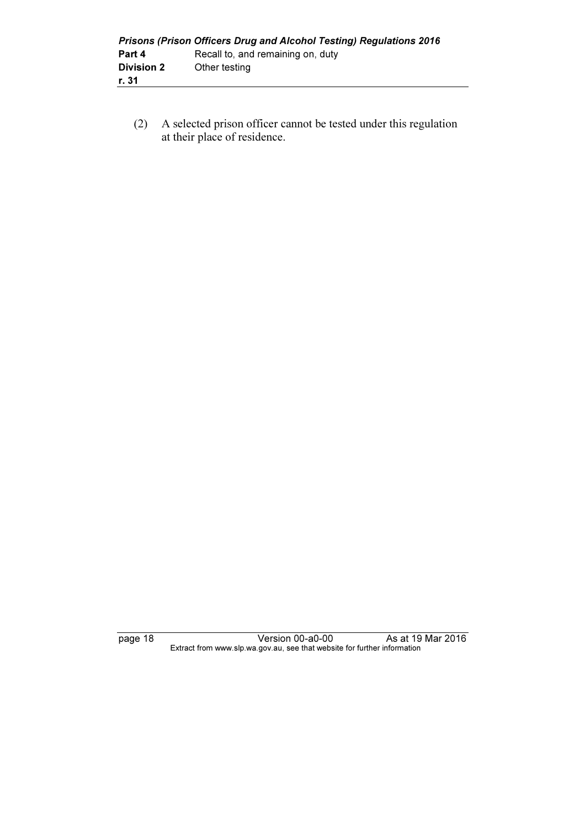|                   | <b>Prisons (Prison Officers Drug and Alcohol Testing) Regulations 2016</b> |
|-------------------|----------------------------------------------------------------------------|
| Part 4            | Recall to, and remaining on, duty                                          |
| <b>Division 2</b> | Other testing                                                              |
| r. 31             |                                                                            |

 (2) A selected prison officer cannot be tested under this regulation at their place of residence.

page 18 Version 00-a0-00 As at 19 Mar 2016  $\mathbf{F}$  from which was the see that we besite for further information  $\mathbf{F}$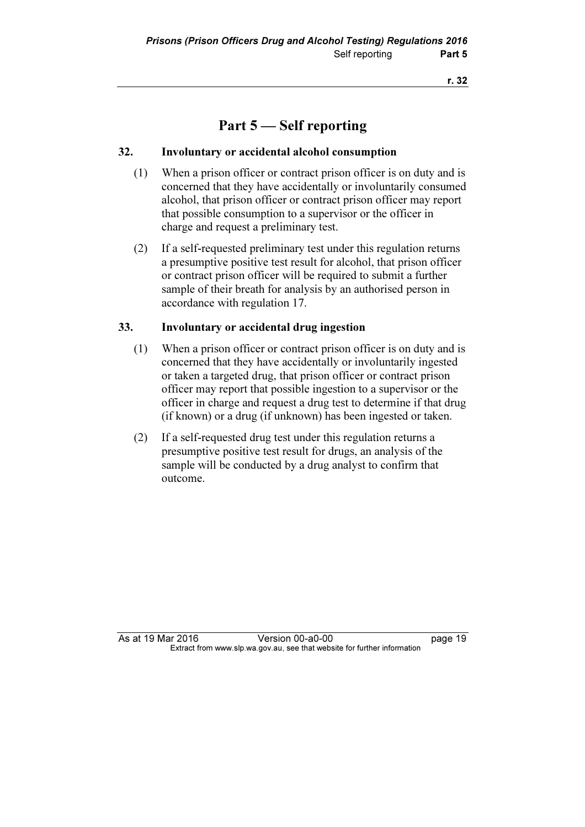# Part 5 — Self reporting

## 32. Involuntary or accidental alcohol consumption

- (1) When a prison officer or contract prison officer is on duty and is concerned that they have accidentally or involuntarily consumed alcohol, that prison officer or contract prison officer may report that possible consumption to a supervisor or the officer in charge and request a preliminary test.
- (2) If a self-requested preliminary test under this regulation returns a presumptive positive test result for alcohol, that prison officer or contract prison officer will be required to submit a further sample of their breath for analysis by an authorised person in accordance with regulation 17.

## 33. Involuntary or accidental drug ingestion

- (1) When a prison officer or contract prison officer is on duty and is concerned that they have accidentally or involuntarily ingested or taken a targeted drug, that prison officer or contract prison officer may report that possible ingestion to a supervisor or the officer in charge and request a drug test to determine if that drug (if known) or a drug (if unknown) has been ingested or taken.
- (2) If a self-requested drug test under this regulation returns a presumptive positive test result for drugs, an analysis of the sample will be conducted by a drug analyst to confirm that outcome.

As at 19 Mar 2016 **Version 00-a0-00 Dage 19** Extract from www.slp.wa.gov.au, see that website for further information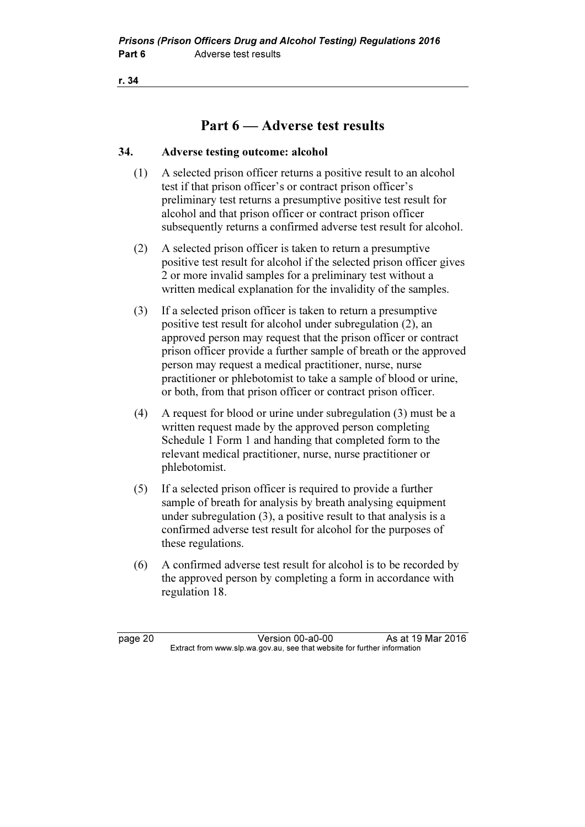# Part 6 — Adverse test results

### 34. Adverse testing outcome: alcohol

- (1) A selected prison officer returns a positive result to an alcohol test if that prison officer's or contract prison officer's preliminary test returns a presumptive positive test result for alcohol and that prison officer or contract prison officer subsequently returns a confirmed adverse test result for alcohol.
- (2) A selected prison officer is taken to return a presumptive positive test result for alcohol if the selected prison officer gives 2 or more invalid samples for a preliminary test without a written medical explanation for the invalidity of the samples.
- (3) If a selected prison officer is taken to return a presumptive positive test result for alcohol under subregulation (2), an approved person may request that the prison officer or contract prison officer provide a further sample of breath or the approved person may request a medical practitioner, nurse, nurse practitioner or phlebotomist to take a sample of blood or urine, or both, from that prison officer or contract prison officer.
- (4) A request for blood or urine under subregulation (3) must be a written request made by the approved person completing Schedule 1 Form 1 and handing that completed form to the relevant medical practitioner, nurse, nurse practitioner or phlebotomist.
- (5) If a selected prison officer is required to provide a further sample of breath for analysis by breath analysing equipment under subregulation (3), a positive result to that analysis is a confirmed adverse test result for alcohol for the purposes of these regulations.
- (6) A confirmed adverse test result for alcohol is to be recorded by the approved person by completing a form in accordance with regulation 18.

page 20 Version 00-a0-00 As at 19 Mar 2016<br>Extract from www.slp.wa.gov.au, see that website for further information  $\mathbf{F}$  from which was the see that we besite for further information  $\mathbf{F}$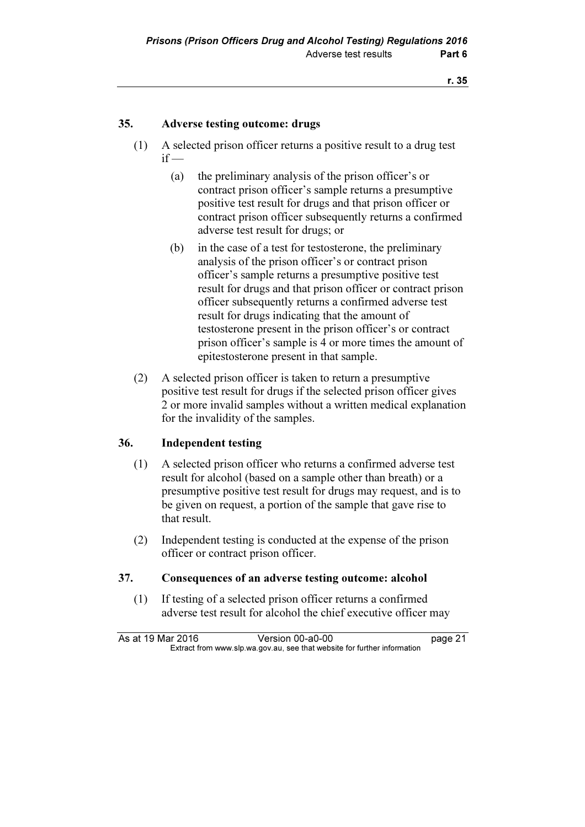## 35. Adverse testing outcome: drugs

- (1) A selected prison officer returns a positive result to a drug test  $if -$ 
	- (a) the preliminary analysis of the prison officer's or contract prison officer's sample returns a presumptive positive test result for drugs and that prison officer or contract prison officer subsequently returns a confirmed adverse test result for drugs; or
	- (b) in the case of a test for testosterone, the preliminary analysis of the prison officer's or contract prison officer's sample returns a presumptive positive test result for drugs and that prison officer or contract prison officer subsequently returns a confirmed adverse test result for drugs indicating that the amount of testosterone present in the prison officer's or contract prison officer's sample is 4 or more times the amount of epitestosterone present in that sample.
- (2) A selected prison officer is taken to return a presumptive positive test result for drugs if the selected prison officer gives 2 or more invalid samples without a written medical explanation for the invalidity of the samples.

## 36. Independent testing

- (1) A selected prison officer who returns a confirmed adverse test result for alcohol (based on a sample other than breath) or a presumptive positive test result for drugs may request, and is to be given on request, a portion of the sample that gave rise to that result.
- (2) Independent testing is conducted at the expense of the prison officer or contract prison officer.

### 37. Consequences of an adverse testing outcome: alcohol

 (1) If testing of a selected prison officer returns a confirmed adverse test result for alcohol the chief executive officer may

As at 19 Mar 2016 Version 00-a0-00 page 21<br>Extract from www.slp.wa.gov.au, see that website for further information  $\mathbf{F}$  from which was the see that we besite for further information  $\mathbf{F}$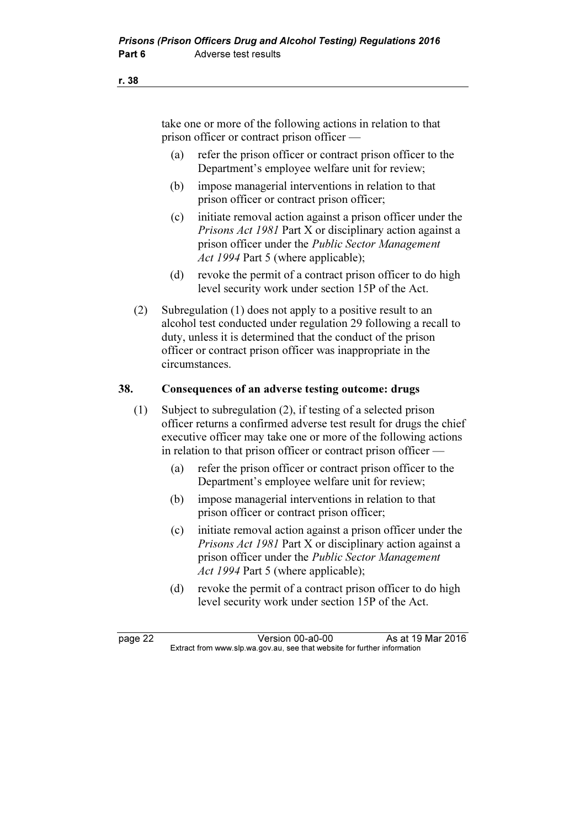take one or more of the following actions in relation to that prison officer or contract prison officer —

- (a) refer the prison officer or contract prison officer to the Department's employee welfare unit for review;
- (b) impose managerial interventions in relation to that prison officer or contract prison officer;
- (c) initiate removal action against a prison officer under the Prisons Act 1981 Part X or disciplinary action against a prison officer under the Public Sector Management Act 1994 Part 5 (where applicable);
- (d) revoke the permit of a contract prison officer to do high level security work under section 15P of the Act.
- (2) Subregulation (1) does not apply to a positive result to an alcohol test conducted under regulation 29 following a recall to duty, unless it is determined that the conduct of the prison officer or contract prison officer was inappropriate in the circumstances.

### 38. Consequences of an adverse testing outcome: drugs

- (1) Subject to subregulation (2), if testing of a selected prison officer returns a confirmed adverse test result for drugs the chief executive officer may take one or more of the following actions in relation to that prison officer or contract prison officer —
	- (a) refer the prison officer or contract prison officer to the Department's employee welfare unit for review;
	- (b) impose managerial interventions in relation to that prison officer or contract prison officer;
	- (c) initiate removal action against a prison officer under the Prisons Act 1981 Part X or disciplinary action against a prison officer under the Public Sector Management Act 1994 Part 5 (where applicable);
	- (d) revoke the permit of a contract prison officer to do high level security work under section 15P of the Act.

page 22 Version 00-a0-00 As at 19 Mar 2016<br>Extract from www.slp.wa.gov.au, see that website for further information  $\mathbf{F}$  from which was the see that we besite for further information  $\mathbf{F}$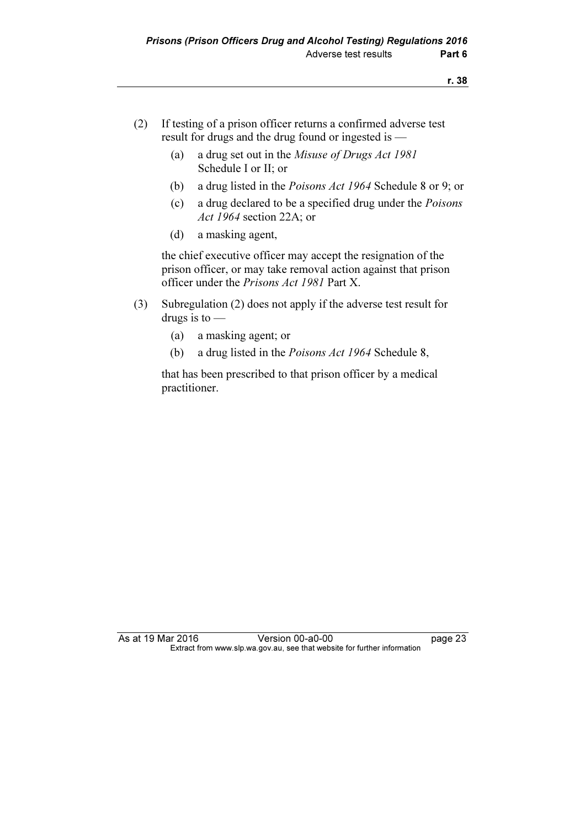- (2) If testing of a prison officer returns a confirmed adverse test result for drugs and the drug found or ingested is —
	- (a) a drug set out in the Misuse of Drugs Act 1981 Schedule I or II; or
	- (b) a drug listed in the Poisons Act 1964 Schedule 8 or 9; or
	- (c) a drug declared to be a specified drug under the Poisons Act 1964 section 22A; or
	- (d) a masking agent,

 the chief executive officer may accept the resignation of the prison officer, or may take removal action against that prison officer under the Prisons Act 1981 Part X.

- (3) Subregulation (2) does not apply if the adverse test result for drugs is to —
	- (a) a masking agent; or
	- (b) a drug listed in the Poisons Act 1964 Schedule 8,

 that has been prescribed to that prison officer by a medical practitioner.

As at 19 Mar 2016 **Version 00-a0-00** page 23 Extract from www.slp.wa.gov.au, see that website for further information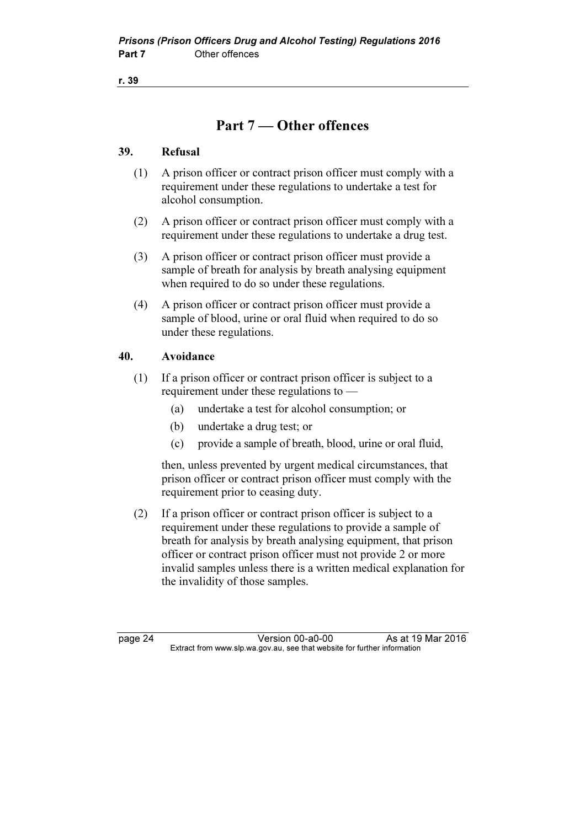# Part 7 — Other offences

### 39. Refusal

- (1) A prison officer or contract prison officer must comply with a requirement under these regulations to undertake a test for alcohol consumption.
- (2) A prison officer or contract prison officer must comply with a requirement under these regulations to undertake a drug test.
- (3) A prison officer or contract prison officer must provide a sample of breath for analysis by breath analysing equipment when required to do so under these regulations.
- (4) A prison officer or contract prison officer must provide a sample of blood, urine or oral fluid when required to do so under these regulations.

## 40. Avoidance

- (1) If a prison officer or contract prison officer is subject to a requirement under these regulations to —
	- (a) undertake a test for alcohol consumption; or
	- (b) undertake a drug test; or
	- (c) provide a sample of breath, blood, urine or oral fluid,

 then, unless prevented by urgent medical circumstances, that prison officer or contract prison officer must comply with the requirement prior to ceasing duty.

 (2) If a prison officer or contract prison officer is subject to a requirement under these regulations to provide a sample of breath for analysis by breath analysing equipment, that prison officer or contract prison officer must not provide 2 or more invalid samples unless there is a written medical explanation for the invalidity of those samples.

page 24 Version 00-a0-00 As at 19 Mar 2016<br>Extract from www.slp.wa.gov.au, see that website for further information  $\mathbf{F}$  from which was the see that we besite for further information  $\mathbf{F}$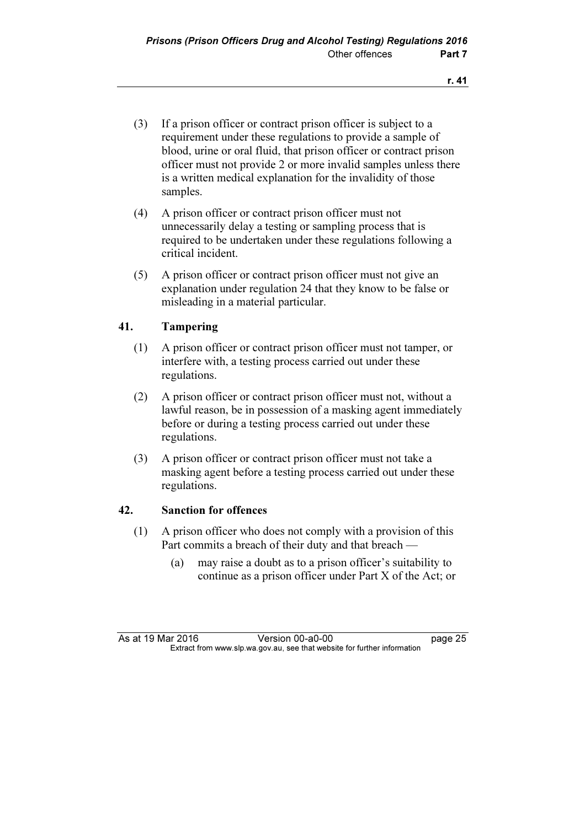- (3) If a prison officer or contract prison officer is subject to a requirement under these regulations to provide a sample of blood, urine or oral fluid, that prison officer or contract prison officer must not provide 2 or more invalid samples unless there is a written medical explanation for the invalidity of those samples.
- (4) A prison officer or contract prison officer must not unnecessarily delay a testing or sampling process that is required to be undertaken under these regulations following a critical incident.
- (5) A prison officer or contract prison officer must not give an explanation under regulation 24 that they know to be false or misleading in a material particular.

## 41. Tampering

- (1) A prison officer or contract prison officer must not tamper, or interfere with, a testing process carried out under these regulations.
- (2) A prison officer or contract prison officer must not, without a lawful reason, be in possession of a masking agent immediately before or during a testing process carried out under these regulations.
- (3) A prison officer or contract prison officer must not take a masking agent before a testing process carried out under these regulations.

## 42. Sanction for offences

- (1) A prison officer who does not comply with a provision of this Part commits a breach of their duty and that breach —
	- (a) may raise a doubt as to a prison officer's suitability to continue as a prison officer under Part X of the Act; or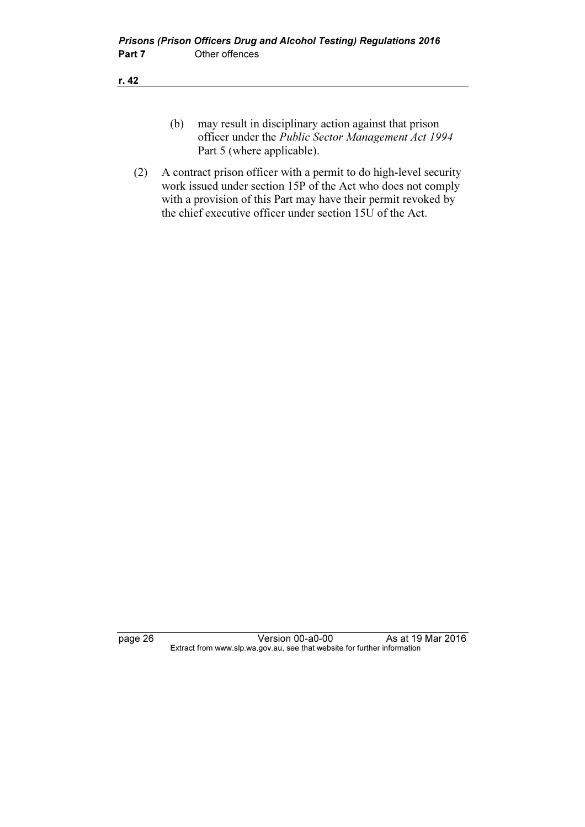- (b) may result in disciplinary action against that prison officer under the Public Sector Management Act 1994 Part 5 (where applicable).
- (2) A contract prison officer with a permit to do high-level security work issued under section 15P of the Act who does not comply with a provision of this Part may have their permit revoked by the chief executive officer under section  $15\overline{U}$  of the Act.

page 26 Version 00-a0-00 As at 19 Mar 2016 Extract from www.slp.wa.gov.au, see that website for further information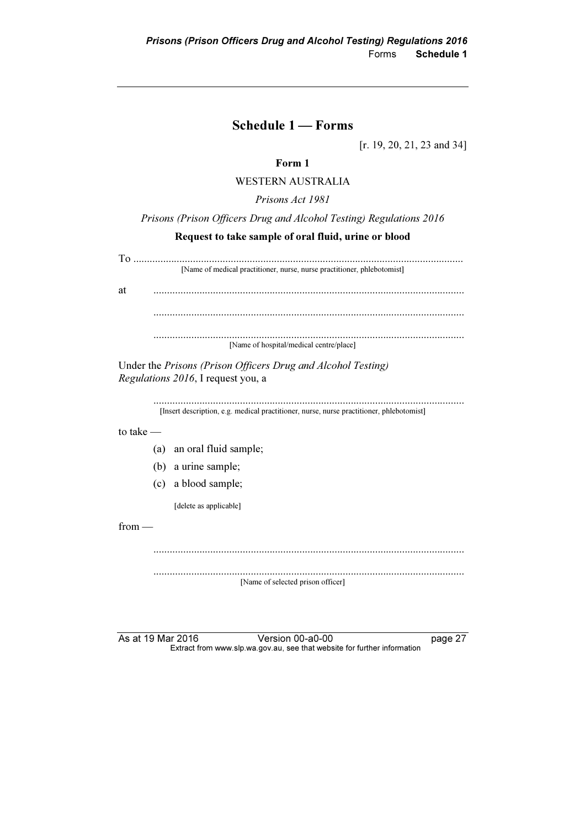## Schedule 1 — Forms

[r. 19, 20, 21, 23 and 34]

## Form 1

WESTERN AUSTRALIA

Prisons Act 1981

Prisons (Prison Officers Drug and Alcohol Testing) Regulations 2016

### Request to take sample of oral fluid, urine or blood

| [Name of medical practitioner, nurse, nurse practitioner, phlebotomist] |  |  |  |
|-------------------------------------------------------------------------|--|--|--|
|                                                                         |  |  |  |
|                                                                         |  |  |  |
|                                                                         |  |  |  |
| [Name of hospital/medical centre/place]                                 |  |  |  |
|                                                                         |  |  |  |

Under the Prisons (Prison Officers Drug and Alcohol Testing) Regulations 2016, I request you, a

> ................................................................................................................... [Insert description, e.g. medical practitioner, nurse, nurse practitioner, phlebotomist]

to take —

- (a) an oral fluid sample;
- (b) a urine sample;
- (c) a blood sample;

[delete as applicable]

from —

 ................................................................................................................... ................................................................................................................... [Name of selected prison officer]

As at 19 Mar 2016 **Version 00-a0-00** page 27 Extract from www.slp.wa.gov.au, see that website for further information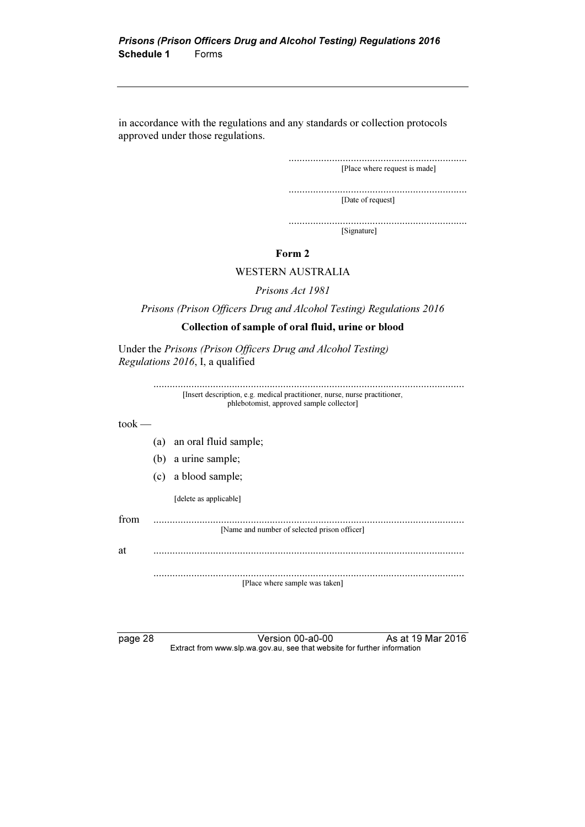in accordance with the regulations and any standards or collection protocols approved under those regulations.

> .................................................................. [Place where request is made]

> .................................................................. [Date of request]

> .................................................................. [Signature]

### Form 2

### WESTERN AUSTRALIA

Prisons Act 1981

Prisons (Prison Officers Drug and Alcohol Testing) Regulations 2016

### Collection of sample of oral fluid, urine or blood

Under the Prisons (Prison Officers Drug and Alcohol Testing) Regulations 2016, I, a qualified

|                              | [Insert description, e.g. medical practitioner, nurse, nurse practitioner,<br>phlebotomist, approved sample collector] |
|------------------------------|------------------------------------------------------------------------------------------------------------------------|
| $to$ <sub>o</sub> $\kappa$ — |                                                                                                                        |
|                              | (a) an oral fluid sample;                                                                                              |
|                              | (b) a urine sample;                                                                                                    |
|                              | (c) a blood sample;                                                                                                    |
|                              | [delete as applicable]                                                                                                 |
| from                         | [Name and number of selected prison officer]                                                                           |
| at                           |                                                                                                                        |
|                              | [Place where sample was taken]                                                                                         |

page 28 Version 00-a0-00 As at 19 Mar 2016 Extract from www.slp.wa.gov.au, see that website for further information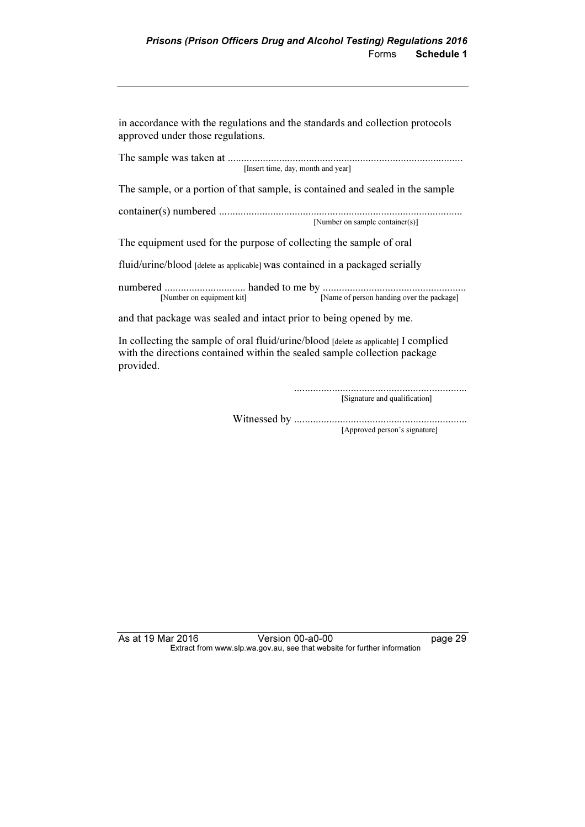in accordance with the regulations and the standards and collection protocols approved under those regulations.

The sample was taken at ....................................................................................... [Insert time, day, month and year] The sample, or a portion of that sample, is contained and sealed in the sample container(s) numbered .......................................................................................... [Number on sample container(s)] The equipment used for the purpose of collecting the sample of oral fluid/urine/blood [delete as applicable] was contained in a packaged serially numbered .............................. handed to me by ..................................................... [Name of person handing over the package] and that package was sealed and intact prior to being opened by me.

In collecting the sample of oral fluid/urine/blood [delete as applicable] I complied with the directions contained within the sealed sample collection package provided.

> ................................................................ [Signature and qualification]

Witnessed by ................................................................ [Approved person's signature]

As at 19 Mar 2016 **Version 00-a0-00 Page 29** Extract from www.slp.wa.gov.au, see that website for further information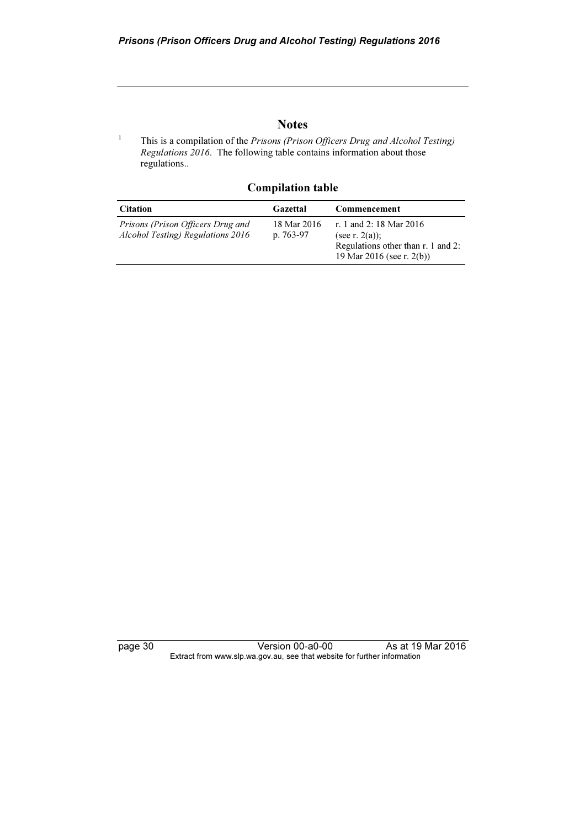## **Notes**

 This is a compilation of the Prisons (Prison Officers Drug and Alcohol Testing) Regulations  $2016$ . The following table contains information about those regulations..

| <b>Citation</b>                                                        | Gazettal                   | Commencement                                                                                                    |
|------------------------------------------------------------------------|----------------------------|-----------------------------------------------------------------------------------------------------------------|
| Prisons (Prison Officers Drug and<br>Alcohol Testing) Regulations 2016 | 18 Mar 2016<br>p. $763-97$ | r. 1 and 2: 18 Mar 2016<br>(see r. $2(a)$ );<br>Regulations other than r. 1 and 2:<br>19 Mar 2016 (see r. 2(b)) |

## Compilation table

1

page 30 Version 00-a0-00 As at 19 Mar 2016 Extract from www.slp.wa.gov.au, see that website for further information